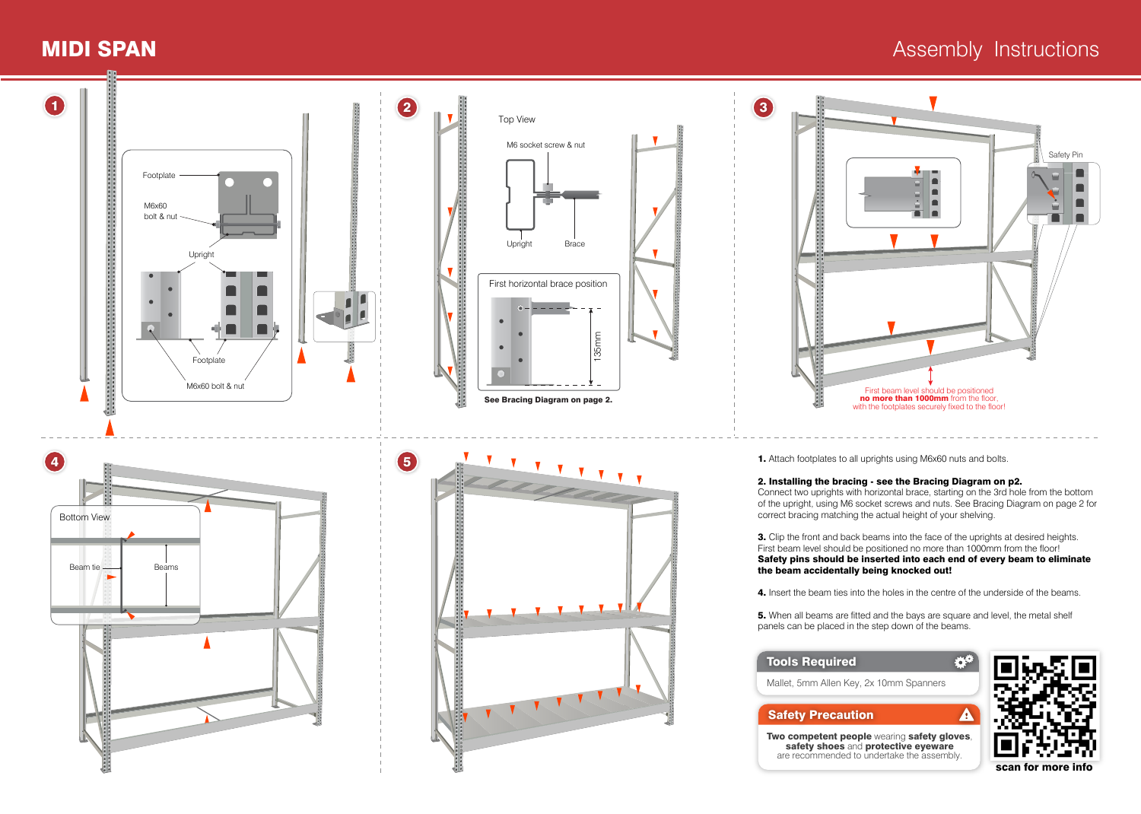## **MIDI SPAN** Assembly Instructions